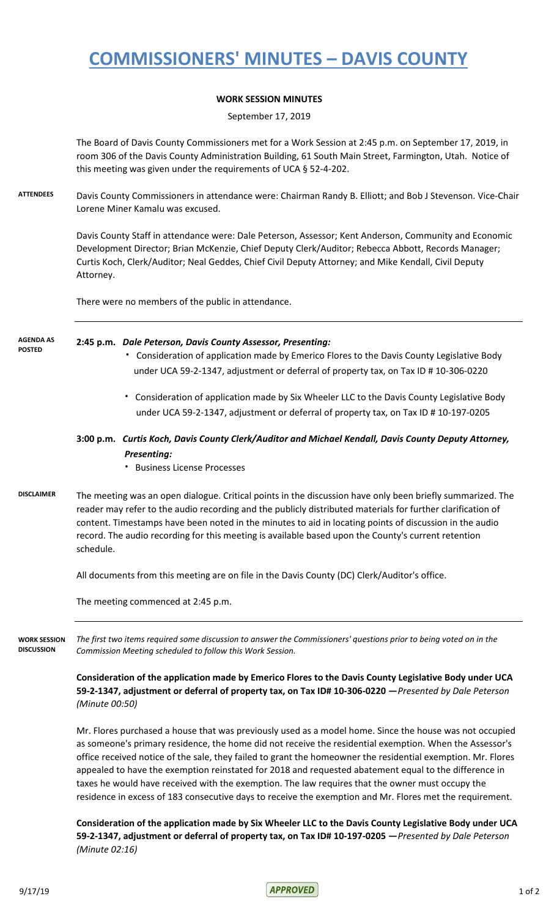# **COMMISSIONERS' MINUTES – DAVIS COUNTY**

### **WORK SESSION MINUTES**

September 17, 2019

The Board of Davis County Commissioners met for a Work Session at 2:45 p.m. on September 17, 2019, in room 306 of the Davis County Administration Building, 61 South Main Street, Farmington, Utah. Notice of this meeting was given under the requirements of UCA § 52-4-202.

**ATTENDEES** Davis County Commissioners in attendance were: Chairman Randy B. Elliott; and Bob J Stevenson. Vice-Chair Lorene Miner Kamalu was excused.

> Davis County Staff in attendance were: Dale Peterson, Assessor; Kent Anderson, Community and Economic Development Director; Brian McKenzie, Chief Deputy Clerk/Auditor; Rebecca Abbott, Records Manager; Curtis Koch, Clerk/Auditor; Neal Geddes, Chief Civil Deputy Attorney; and Mike Kendall, Civil Deputy Attorney.

There were no members of the public in attendance.

#### **2:45 p.m.** *Dale Peterson, Davis County Assessor, Presenting:*  **AGENDA AS POSTED**

- **·** Consideration of application made by Emerico Flores to the Davis County Legislative Body under UCA 59-2-1347, adjustment or deferral of property tax, on Tax ID # 10-306-0220
- **·** Consideration of application made by Six Wheeler LLC to the Davis County Legislative Body under UCA 59-2-1347, adjustment or deferral of property tax, on Tax ID # 10-197-0205

## **3:00 p.m.** *Curtis Koch, Davis County Clerk/Auditor and Michael Kendall, Davis County Deputy Attorney,*  *Presenting:*

**·** Business License Processes

### **DISCLAIMER** The meeting was an open dialogue. Critical points in the discussion have only been briefly summarized. The reader may refer to the audio recording and the publicly distributed materials for further clarification of content. Timestamps have been noted in the minutes to aid in locating points of discussion in the audio record. The audio recording for this meeting is available based upon the County's current retention schedule.

All documents from this meeting are on file in the Davis County (DC) Clerk/Auditor's office.

The meeting commenced at 2:45 p.m.

*The first two items required some discussion to answer the Commissioners' questions prior to being voted on in the Commission Meeting scheduled to follow this Work Session.* **WORK SESSION DISCUSSION**

> **Consideration of the application made by Emerico Flores to the Davis County Legislative Body under UCA 59-2-1347, adjustment or deferral of property tax, on Tax ID# 10-306-0220 —***Presented by Dale Peterson (Minute 00:50)*

> Mr. Flores purchased a house that was previously used as a model home. Since the house was not occupied as someone's primary residence, the home did not receive the residential exemption. When the Assessor's office received notice of the sale, they failed to grant the homeowner the residential exemption. Mr. Flores appealed to have the exemption reinstated for 2018 and requested abatement equal to the difference in taxes he would have received with the exemption. The law requires that the owner must occupy the residence in excess of 183 consecutive days to receive the exemption and Mr. Flores met the requirement.

> **Consideration of the application made by Six Wheeler LLC to the Davis County Legislative Body under UCA 59-2-1347, adjustment or deferral of property tax, on Tax ID# 10-197-0205 —***Presented by Dale Peterson (Minute 02:16)*